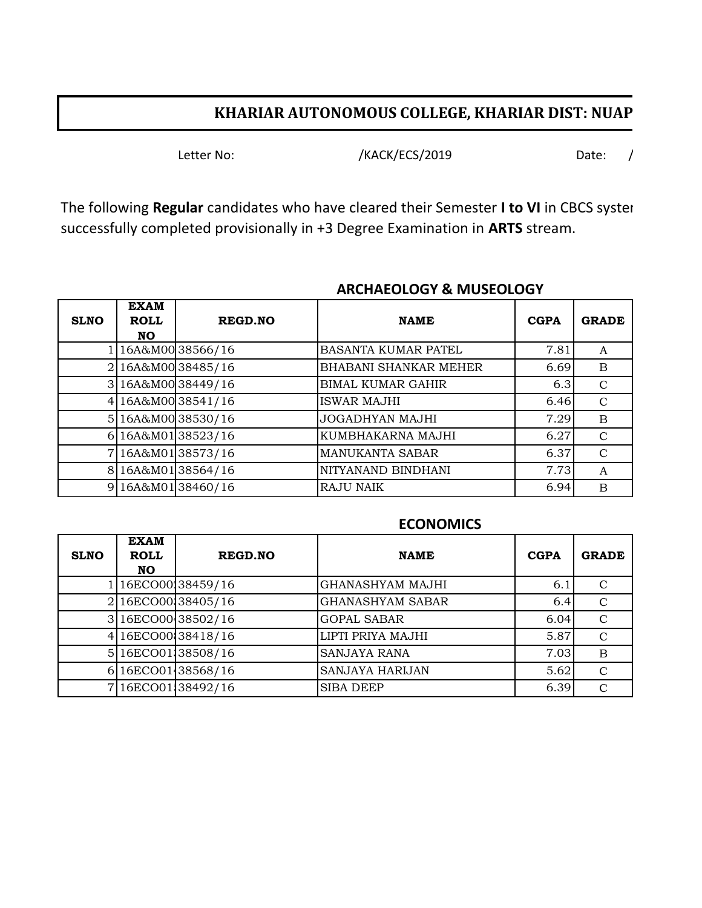# **KHARIAR AUTONOMOUS COLLEGE, KHARIAR DIST: NUAP**

Letter No:  $/KACK/ECS/2019$  Date: /

The following Regular candidates who have cleared their Semester I to VI in CBCS system successfully completed provisionally in +3 Degree Examination in **ARTS** stream.

| <b>SLNO</b> | <b>EXAM</b><br><b>ROLL</b><br>NO. | <b>REGD.NO</b>     | <b>NAME</b>                | <b>CGPA</b> | <b>GRADE</b>  |
|-------------|-----------------------------------|--------------------|----------------------------|-------------|---------------|
|             |                                   | 16A&M00 38566/16   | <b>BASANTA KUMAR PATEL</b> | 7.81        | A             |
|             |                                   | 2 16A&M00 38485/16 | BHABANI SHANKAR MEHER      | 6.69        | B             |
|             |                                   | 3 16A&M00 38449/16 | <b>BIMAL KUMAR GAHIR</b>   | 6.3         | $\mathbf C$   |
|             |                                   | 4 16A&M00 38541/16 | <b>ISWAR MAJHI</b>         | 6.46        | $\mathcal{C}$ |
|             |                                   | 5 16A&M00 38530/16 | JOGADHYAN MAJHI            | 7.29        | <sub>B</sub>  |
|             |                                   | 6 16A&M01 38523/16 | KUMBHAKARNA MAJHI          | 6.27        | $\mathcal{C}$ |
|             |                                   | 7 16A&M01 38573/16 | <b>MANUKANTA SABAR</b>     | 6.37        | C             |
|             |                                   | 8 16A&M01 38564/16 | NITYANAND BINDHANI         | 7.73        | A             |
|             |                                   | 9 16A&M01 38460/16 | <b>RAJU NAIK</b>           | 6.94        | B             |

## **ARCHAEOLOGY & MUSEOLOGY**

#### **ECONOMICS**

| <b>SLNO</b> | <b>EXAM</b><br><b>ROLL</b><br>NO. | <b>REGD.NO</b>     | <b>NAME</b>             | <b>CGPA</b> | <b>GRADE</b>  |
|-------------|-----------------------------------|--------------------|-------------------------|-------------|---------------|
|             |                                   | 16ECO00138459/16   | <b>GHANASHYAM MAJHI</b> | 6.1         | C             |
|             |                                   | 16ECO00 38405/16   | <b>GHANASHYAM SABAR</b> | 6.4         | $\mathcal{C}$ |
|             |                                   | 3 16ECO00 38502/16 | <b>GOPAL SABAR</b>      | 6.04        | C             |
|             |                                   | 4 16ECO00 38418/16 | LIPTI PRIYA MAJHI       | 5.87        | C             |
| 51          |                                   | 16ECO0138508/16    | <b>SANJAYA RANA</b>     | 7.03        | B             |
|             |                                   | 16ECO01 38568/16   | <b>SANJAYA HARIJAN</b>  | 5.62        | C             |
|             |                                   | 16ECO0138492/16    | <b>SIBA DEEP</b>        | 6.39        | C             |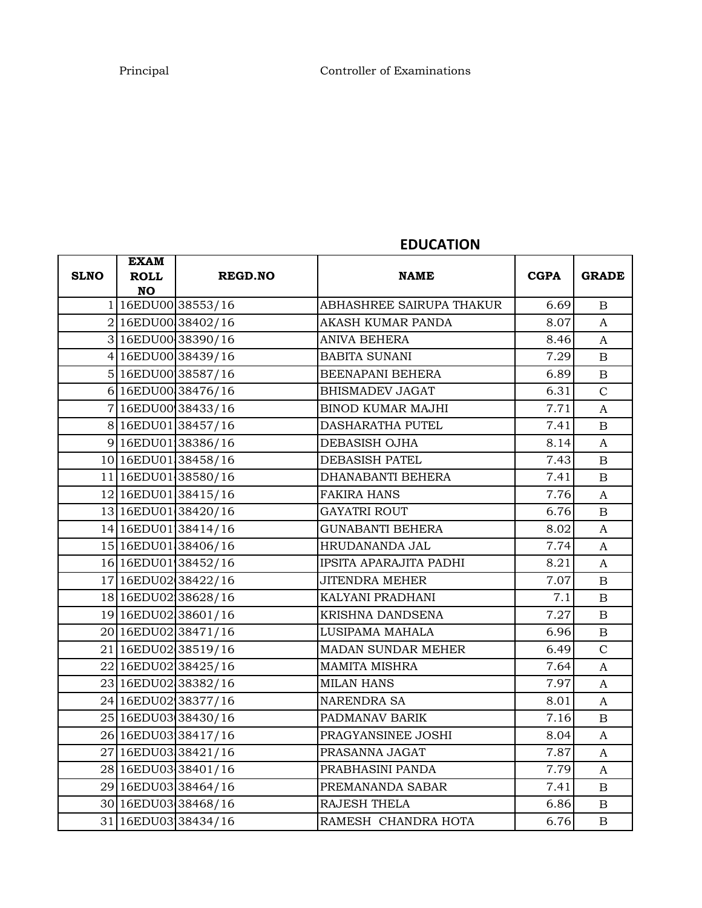# **EDUCATION**

|             | <b>EXAM</b> |                     |                               |             |                |
|-------------|-------------|---------------------|-------------------------------|-------------|----------------|
| <b>SLNO</b> | <b>ROLL</b> | <b>REGD.NO</b>      | <b>NAME</b>                   | <b>CGPA</b> | <b>GRADE</b>   |
|             | <b>NO</b>   |                     |                               |             |                |
|             |             | 1 16EDU00 38553/16  | ABHASHREE SAIRUPA THAKUR      | 6.69        | B              |
|             |             | 216EDU00 38402/16   | AKASH KUMAR PANDA             | 8.07        | $\mathbf{A}$   |
|             |             | 3 16EDU00 38390/16  | <b>ANIVA BEHERA</b>           | 8.46        | $\mathbf{A}$   |
|             |             | 4 16EDU00 38439/16  | <b>BABITA SUNANI</b>          | 7.29        | $\mathbf B$    |
|             |             | 5 16EDU00 38587/16  | <b>BEENAPANI BEHERA</b>       | 6.89        | B              |
|             |             | 6 16EDU00 38476/16  | <b>BHISMADEV JAGAT</b>        | 6.31        | $\mathsf{C}$   |
|             |             | 7 16EDU00 38433/16  | <b>BINOD KUMAR MAJHI</b>      | 7.71        | $\mathbf{A}$   |
|             |             | 8 16EDU01 38457/16  | DASHARATHA PUTEL              | 7.41        | $\, {\bf B}$   |
|             |             | 916EDU0138386/16    | <b>DEBASISH OJHA</b>          | 8.14        | $\mathbf{A}$   |
|             |             | 10 16EDU01 38458/16 | <b>DEBASISH PATEL</b>         | 7.43        | $\, {\bf B}$   |
|             |             | 11 16EDU01 38580/16 | DHANABANTI BEHERA             | 7.41        | $\, {\bf B}$   |
|             |             | 12 16EDU01 38415/16 | <b>FAKIRA HANS</b>            | 7.76        | $\mathbf{A}$   |
|             |             | 13 16EDU01 38420/16 | <b>GAYATRI ROUT</b>           | 6.76        | $\mathbf B$    |
|             |             | 14 16EDU01 38414/16 | <b>GUNABANTI BEHERA</b>       | 8.02        | $\mathbf{A}$   |
|             |             | 15 16EDU01 38406/16 | HRUDANANDA JAL                | 7.74        | $\mathbf{A}$   |
|             |             | 16 16EDU01 38452/16 | <b>IPSITA APARAJITA PADHI</b> | 8.21        | $\mathbf{A}$   |
|             |             | 17 16EDU02 38422/16 | <b>JITENDRA MEHER</b>         | 7.07        | $\, {\bf B}$   |
|             |             | 18 16EDU02 38628/16 | KALYANI PRADHANI              | 7.1         | $\, {\bf B}$   |
|             |             | 19 16EDU02 38601/16 | KRISHNA DANDSENA              | 7.27        | $\mathbf B$    |
|             |             | 20 16EDU02 38471/16 | LUSIPAMA MAHALA               | 6.96        | $\, {\bf B}$   |
|             |             | 2116EDU0238519/16   | MADAN SUNDAR MEHER            | 6.49        | $\mathbf C$    |
|             |             | 22 16EDU02 38425/16 | <b>MAMITA MISHRA</b>          | 7.64        | $\mathbf{A}$   |
|             |             | 23 16EDU02 38382/16 | <b>MILAN HANS</b>             | 7.97        | $\mathbf{A}$   |
|             |             | 24 16EDU02 38377/16 | <b>NARENDRA SA</b>            | 8.01        | $\mathbf{A}$   |
|             |             | 25 16EDU03 38430/16 | PADMANAV BARIK                | 7.16        | $\, {\bf B}$   |
|             |             | 26 16EDU03 38417/16 | PRAGYANSINEE JOSHI            | 8.04        | $\mathbf{A}$   |
|             |             | 27 16EDU03 38421/16 | PRASANNA JAGAT                | 7.87        | $\mathbf{A}$   |
|             |             | 28 16EDU03 38401/16 | PRABHASINI PANDA              | 7.79        | $\mathbf{A}$   |
|             |             | 29 16EDU03 38464/16 | PREMANANDA SABAR              | 7.41        | $\mathbf B$    |
|             |             | 30 16EDU03 38468/16 | RAJESH THELA                  | 6.86        | $\overline{B}$ |
|             |             | 31 16EDU03 38434/16 | RAMESH CHANDRA HOTA           | 6.76        | $\, {\bf B}$   |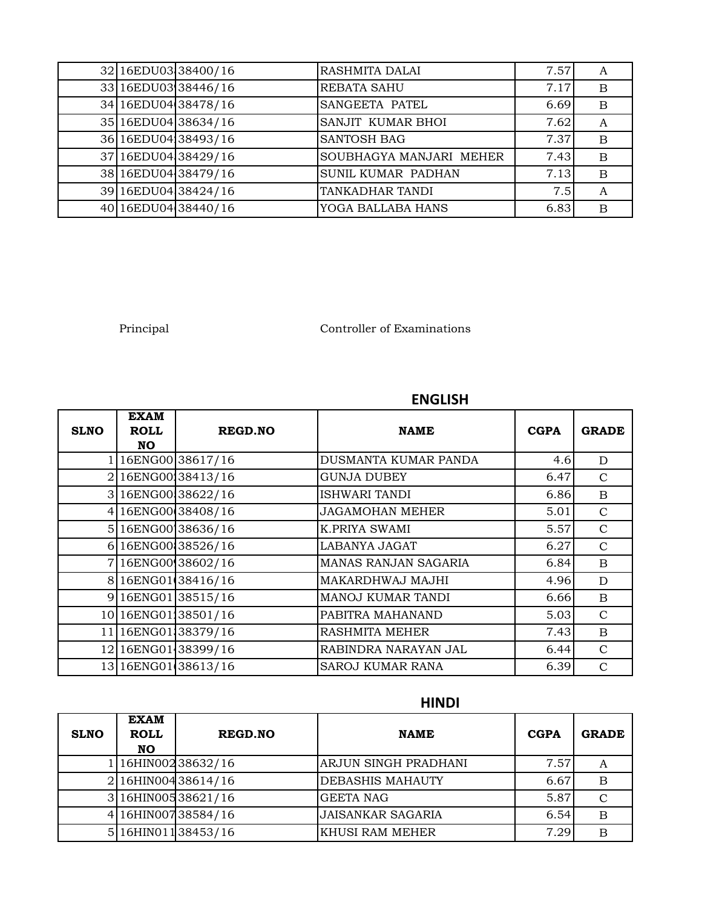| 32 16EDU03 38400/16 | <b>RASHMITA DALAI</b>   | 7.57 | A |
|---------------------|-------------------------|------|---|
| 33 16EDU03 38446/16 | <b>REBATA SAHU</b>      | 7.17 | B |
| 34 16EDU04 38478/16 | SANGEETA PATEL          | 6.69 | B |
| 35 16EDU04 38634/16 | SANJIT KUMAR BHOI       | 7.62 | A |
| 36 16EDU04 38493/16 | <b>SANTOSH BAG</b>      | 7.37 | B |
| 37 16EDU04 38429/16 | SOUBHAGYA MANJARI MEHER | 7.43 | B |
| 38 16EDU04 38479/16 | SUNIL KUMAR PADHAN      | 7.13 | B |
| 39 16EDU04 38424/16 | <b>TANKADHAR TANDI</b>  | 7.5  | A |
| 40 16EDU04 38440/16 | YOGA BALLABA HANS       | 6.83 | B |

Principal Controller of Examinations

| <b>ENGLISH</b> |  |
|----------------|--|
|----------------|--|

| <b>SLNO</b> | <b>EXAM</b><br><b>ROLL</b><br>NO. | <b>REGD.NO</b>      | <b>NAME</b>             | <b>CGPA</b> | <b>GRADE</b>  |
|-------------|-----------------------------------|---------------------|-------------------------|-------------|---------------|
|             |                                   | 16ENG00 38617/16    | DUSMANTA KUMAR PANDA    | 4.6         | D             |
|             |                                   | 16ENG00138413/16    | <b>GUNJA DUBEY</b>      | 6.47        | C             |
|             |                                   | 3 16ENG00 38622/16  | ISHWARI TANDI           | 6.86        | B             |
|             |                                   | 16ENG00 38408/16    | <b>JAGAMOHAN MEHER</b>  | 5.01        | $\mathcal{C}$ |
|             |                                   | 5 16ENG00 38636/16  | <b>K.PRIYA SWAMI</b>    | 5.57        | C             |
|             |                                   | 6 16ENG00 38526/16  | LABANYA JAGAT           | 6.27        | C             |
|             |                                   | 16ENG00 38602/16    | MANAS RANJAN SAGARIA    | 6.84        | B             |
|             |                                   | 8 16ENG01 38416/16  | MAKARDHWAJ MAJHI        | 4.96        | D             |
|             |                                   | 9 16ENG01 38515/16  | MANOJ KUMAR TANDI       | 6.66        | B             |
|             |                                   | 10 16ENG01 38501/16 | PABITRA MAHANAND        | 5.03        | $\mathcal{C}$ |
| 11          |                                   | 16ENG0138379/16     | <b>RASHMITA MEHER</b>   | 7.43        | <sub>B</sub>  |
| 12          |                                   | 16ENG01 38399/16    | RABINDRA NARAYAN JAL    | 6.44        | $\mathcal{C}$ |
|             |                                   | 13 16ENG01 38613/16 | <b>SAROJ KUMAR RANA</b> | 6.39        | C             |

# **HINDI**

| <b>SLNO</b> | <b>EXAM</b><br><b>ROLL</b><br>NO. | <b>REGD.NO</b>      | <b>NAME</b>              | <b>CGPA</b> | <b>GRADE</b> |
|-------------|-----------------------------------|---------------------|--------------------------|-------------|--------------|
|             |                                   | 16HIN002 38632/16   | ARJUN SINGH PRADHANI     | 7.57        | A            |
|             |                                   | 2 16HIN004 38614/16 | DEBASHIS MAHAUTY         | 6.67        | B            |
|             |                                   | 3 16HIN005 38621/16 | <b>GEETA NAG</b>         | 5.87        |              |
|             |                                   | 4 16HIN007 38584/16 | <b>JAISANKAR SAGARIA</b> | 6.54        | B            |
|             |                                   | 5 16HIN011 38453/16 | KHUSI RAM MEHER          | 7.29        | B            |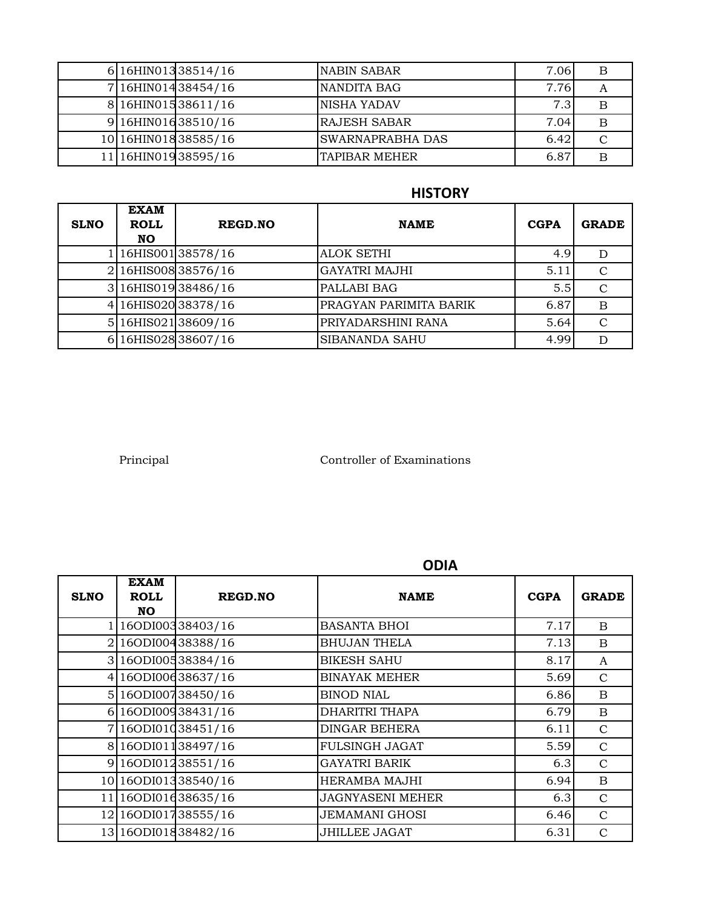|  | 6 16HIN013 38514/16  | <b>NABIN SABAR</b> | 7.06 |  |
|--|----------------------|--------------------|------|--|
|  | 7 16HIN01438454/16   | NANDITA BAG        | 7.76 |  |
|  | 8 16HIN015 38611/16  | NISHA YADAV        | 7.3  |  |
|  | 9 16HIN016 38510/16  | RAJESH SABAR       | 7.04 |  |
|  | 10 16HIN018 38585/16 | SWARNAPRABHA DAS   | 6.42 |  |
|  | 11 16HIN019 38595/16 | TAPIBAR MEHER      | 6.87 |  |

## **HISTORY**

| <b>SLNO</b> | <b>EXAM</b><br><b>ROLL</b><br>NO. | <b>REGD.NO</b>      | <b>NAME</b>            | <b>CGPA</b> | <b>GRADE</b> |
|-------------|-----------------------------------|---------------------|------------------------|-------------|--------------|
|             |                                   | 16HIS00138578/16    | <b>ALOK SETHI</b>      | 4.9         |              |
|             |                                   | 2 16HIS008 38576/16 | <b>GAYATRI MAJHI</b>   | 5.11        |              |
|             |                                   | 3 16HIS019 38486/16 | PALLABI BAG            | 5.5         |              |
|             |                                   | 4 16HIS020 38378/16 | PRAGYAN PARIMITA BARIK | 6.87        | B            |
|             |                                   | 5 16HIS021 38609/16 | PRIYADARSHINI RANA     | 5.64        | C            |
|             |                                   | 6 16HIS028 38607/16 | <b>SIBANANDA SAHU</b>  | 4.99        |              |

Principal Controller of Examinations

**ODIA**

|             | <b>EXAM</b>       |                      |                         |             |                |
|-------------|-------------------|----------------------|-------------------------|-------------|----------------|
| <b>SLNO</b> | <b>ROLL</b><br>NO | <b>REGD.NO</b>       | <b>NAME</b>             | <b>CGPA</b> | <b>GRADE</b>   |
|             |                   | 16ODI00338403/16     | <b>BASANTA BHOI</b>     | 7.17        | B              |
|             |                   | 2 160DI004 38388/16  | <b>BHUJAN THELA</b>     | 7.13        | B              |
|             |                   | 3 16ODI005 38384/16  | <b>BIKESH SAHU</b>      | 8.17        | A              |
|             |                   | 4 160DI006 38637/16  | <b>BINAYAK MEHER</b>    | 5.69        | C              |
|             |                   | 5 160DI007 38450/16  | <b>BINOD NIAL</b>       | 6.86        | B              |
|             |                   | 6 16ODI009 38431/16  | <b>DHARITRI THAPA</b>   | 6.79        | $\overline{B}$ |
|             |                   | 7 16ODI01038451/16   | <b>DINGAR BEHERA</b>    | 6.11        | $\mathcal{C}$  |
|             |                   | 8 160DI011 38497/16  | <b>FULSINGH JAGAT</b>   | 5.59        | $\mathcal{C}$  |
|             |                   | 9 160DI012 38551/16  | <b>GAYATRI BARIK</b>    | 6.3         | $\mathcal{C}$  |
|             |                   | 10 160DI013 38540/16 | HERAMBA MAJHI           | 6.94        | B              |
|             |                   | 11 160DI01d 38635/16 | <b>JAGNYASENI MEHER</b> | 6.3         | $\mathcal{C}$  |
|             |                   | 12 160DI017 38555/16 | <b>JEMAMANI GHOSI</b>   | 6.46        | C              |
|             |                   | 13 160DI018 38482/16 | <b>JHILLEE JAGAT</b>    | 6.31        | $\mathcal{C}$  |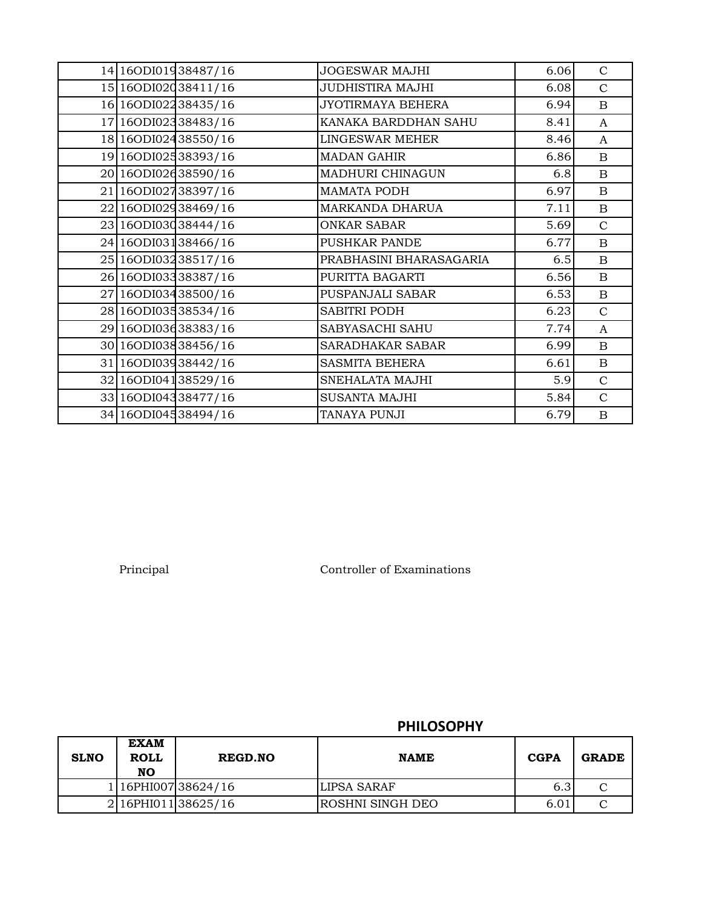|    | 14 160DI019 38487/16     | <b>JOGESWAR MAJHI</b>   | 6.06 | $\mathcal{C}$    |
|----|--------------------------|-------------------------|------|------------------|
|    | 15 16 ODI020 38411/16    | <b>JUDHISTIRA MAJHI</b> | 6.08 | $\mathbf C$      |
|    | 16 16 0 10 22 38435 / 16 | JYOTIRMAYA BEHERA       | 6.94 | $\mathbf B$      |
|    | 17 16ODI023 38483/16     | KANAKA BARDDHAN SAHU    | 8.41 | $\mathbf{A}$     |
|    | 18 16ODI024 38550/16     | <b>LINGESWAR MEHER</b>  | 8.46 | $\boldsymbol{A}$ |
|    | 19 16ODI025 38393/16     | <b>MADAN GAHIR</b>      | 6.86 | $\mathbf B$      |
|    | 20 16ODI026 38590/16     | MADHURI CHINAGUN        | 6.8  | $\mathbf B$      |
|    | 21 16ODI027 38397/16     | MAMATA PODH             | 6.97 | B                |
|    | 22 16ODI029 38469/16     | MARKANDA DHARUA         | 7.11 | B                |
|    | 23 16ODI030 38444/16     | <b>ONKAR SABAR</b>      | 5.69 | $\mathsf{C}$     |
|    | 24 16ODI031 38466/16     | <b>PUSHKAR PANDE</b>    | 6.77 | $\mathbf B$      |
|    | 25 16ODI032 38517/16     | PRABHASINI BHARASAGARIA | 6.5  | $\mathbf B$      |
|    | 26 16ODI033 38387/16     | PURITTA BAGARTI         | 6.56 | B                |
|    | 27 16ODI034 38500/16     | PUSPANJALI SABAR        | 6.53 | $\mathbf B$      |
|    | 28 16ODI035 38534/16     | <b>SABITRI PODH</b>     | 6.23 | $\mathbf C$      |
|    | 29 16ODI036 38383/16     | SABYASACHI SAHU         | 7.74 | $\mathbf{A}$     |
|    | 30 16ODI038 38456/16     | SARADHAKAR SABAR        | 6.99 | B                |
| 31 | 16ODI03938442/16         | <b>SASMITA BEHERA</b>   | 6.61 | $\, {\bf B}$     |
|    | 32 16ODI041 38529/16     | SNEHALATA MAJHI         | 5.9  | $\mathsf{C}$     |
|    | 33 16ODI043 38477/16     | <b>SUSANTA MAJHI</b>    | 5.84 | $\mathsf{C}$     |
|    | 34 16ODI045 38494/16     | TANAYA PUNJI            | 6.79 | $\, {\bf B}$     |

Principal Controller of Examinations

# **PHILOSOPHY**

| <b>SLNO</b> | <b>EXAM</b><br><b>ROLL</b><br>NO | <b>REGD.NO</b>               | <b>NAME</b>             | <b>CGPA</b> | <b>GRADE</b> |
|-------------|----------------------------------|------------------------------|-------------------------|-------------|--------------|
|             |                                  | 16PHI00738624/16             | LIPSA SARAF             | 6.3         |              |
|             |                                  | 2 16 HI 0 1 1 38 6 2 5 / 1 6 | <b>ROSHNI SINGH DEO</b> | 6.01        |              |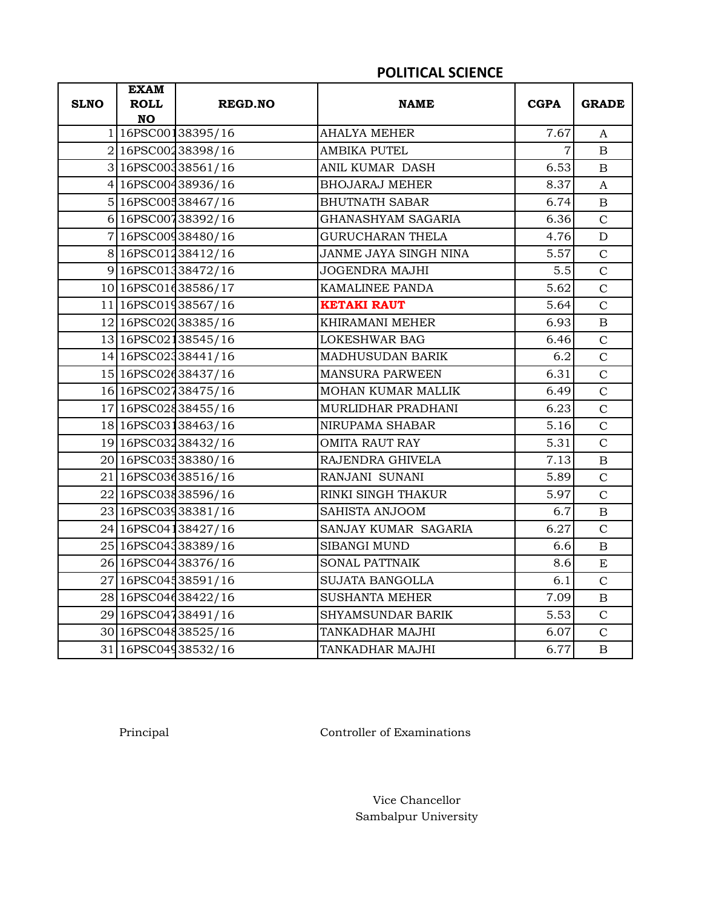#### **SLNO EXAM ROLL NO REGD.NO NAME CGPA GRADE** 1 16PSC00138395/16 AHALYA MEHER 10 7.67 A 2 16PSC00238398/16 AMBIKA PUTEL 7 B 3 16PSC00338561/16 ANIL KUMAR DASH 6.53 B 4 16PSC00438936/16 BHOJARAJ MEHER 8.37 A 5 16PSC005 38467/16 BHUTNATH SABAR 6.74 B 6 16PSC00738392/16 GHANASHYAM SAGARIA 6.36 C 7 16PSC009 38480/16 GURUCHARAN THELA 4.76 D 8 16PSC01238412/16 JANME JAYA SINGH NINA 5.57 C 9 16PSC01338472/16 JOGENDRA MAJHI 5.5 C 10 16PSC01 (38586/17 KAMALINEE PANDA 5.62 C 11 16PSC01938567/16 **KETAKI RAUT** 5.64 C 12 16PSC02038385/16 KHIRAMANI MEHER 6.93 B 13 16PSC02 138545/16 LOKESHWAR BAG 6.46 C 14 16PSC02338441/16 MADHUSUDAN BARIK 6.2 C 15 16PSC02638437/16 MANSURA PARWEEN 6.31 C 16 16PSC02738475/16 MOHAN KUMAR MALLIK 6.49 C 17 16PSC02838455/16 MURLIDHAR PRADHANI 6.23 C 18 16PSC03138463/16 NIRUPAMA SHABAR 16.16 C 19 16PSC03238432/16 OMITA RAUT RAY 5.31 C 20 16PSC035 38380/16 RAJENDRA GHIVELA 7.13 B 21 16PSC03d38516/16 RANJANI SUNANI 5.89 C 22 16PSC03838596/16 RINKI SINGH THAKUR 5.97 C 23 16PSC03938381/16 SAHISTA ANJOOM 6.7 B 24 16PSC04138427/16 SANJAY KUMAR SAGARIA 6.27 C 25 16PSC04338389/16 SIBANGI MUND 6.6 B 26 16PSC04438376/16 SONAL PATTNAIK 8.6 E 27 16PSC045 38591/16 SUJATA BANGOLLA 6.1 C 28 16PSC04d38422/16 SUSHANTA MEHER 7.09 B 29 16PSC04738491/16 SHYAMSUNDAR BARIK 5.53 C 30 16PSC04838525/16 TANKADHAR MAJHI 6.07 C 31 16PSC049 38532/16 TANKADHAR MAJHI 6.77 B

# **POLITICAL SCIENCE**

Principal Controller of Examinations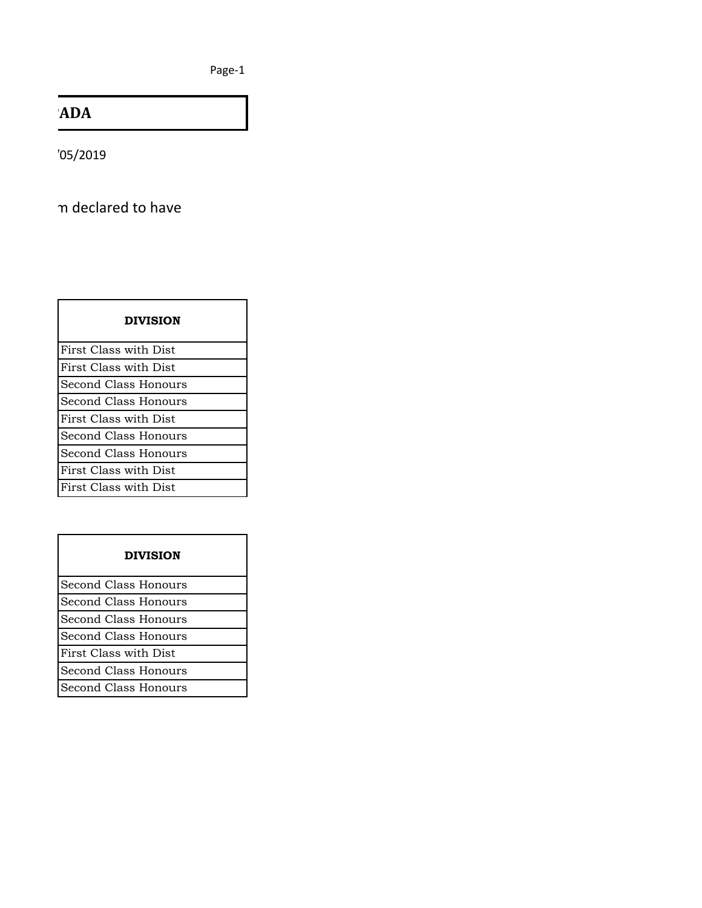Page-1

# $ADA$

 $05/2019$ 

# m declared to have

#### **DIVISION**

| First Class with Dist |
|-----------------------|
| First Class with Dist |
| Second Class Honours  |
| Second Class Honours  |
| First Class with Dist |
| Second Class Honours  |
| Second Class Honours  |
| First Class with Dist |
| First Class with Dist |

| <b>DIVISION</b>       |
|-----------------------|
| Second Class Honours  |
| Second Class Honours  |
| Second Class Honours  |
| Second Class Honours  |
| First Class with Dist |
| Second Class Honours  |
| Second Class Honours  |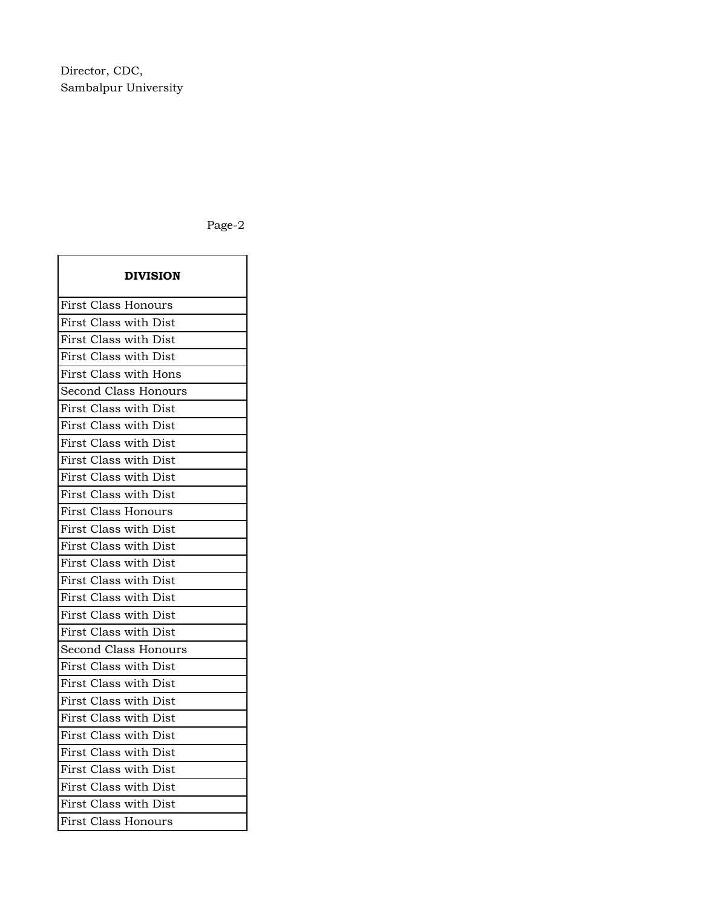Page-2

| <b>DIVISION</b>              |
|------------------------------|
| <b>First Class Honours</b>   |
| First Class with Dist        |
| First Class with Dist        |
| First Class with Dist        |
| <b>First Class with Hons</b> |
| Second Class Honours         |
| First Class with Dist        |
| First Class with Dist        |
| First Class with Dist        |
| First Class with Dist        |
| First Class with Dist        |
| First Class with Dist        |
| <b>First Class Honours</b>   |
| First Class with Dist        |
| First Class with Dist        |
| First Class with Dist        |
| First Class with Dist        |
| First Class with Dist        |
| First Class with Dist        |
| First Class with Dist        |
| <b>Second Class Honours</b>  |
| First Class with Dist        |
| First Class with Dist        |
| First Class with Dist        |
| First Class with Dist        |
| First Class with Dist        |
| First Class with Dist        |
| First Class with Dist        |
| First Class with Dist        |
| First Class with Dist        |
| <b>First Class Honours</b>   |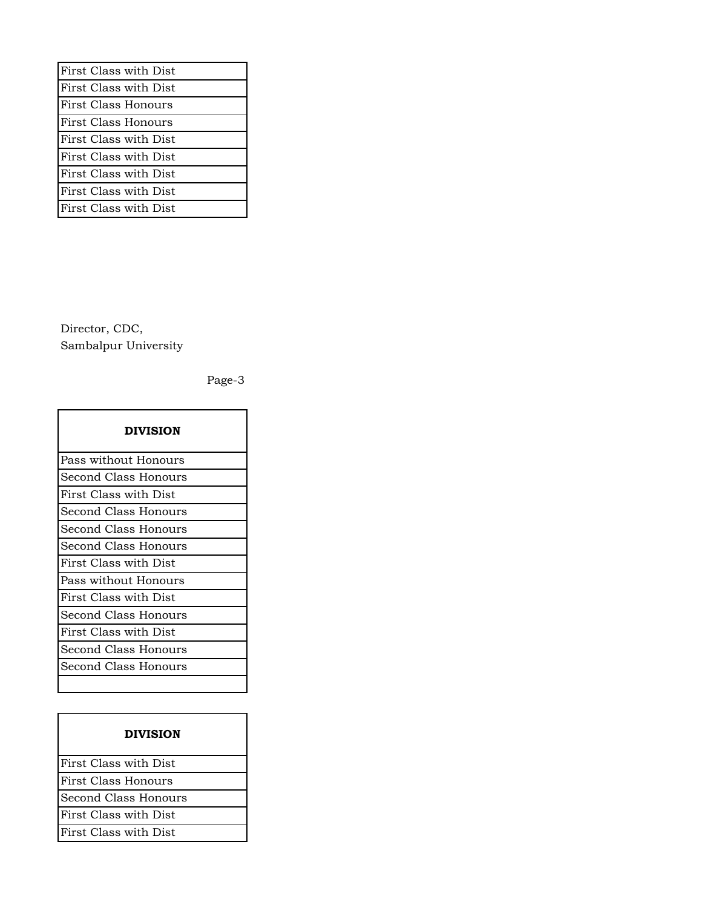| First Class with Dist        |
|------------------------------|
| First Class with Dist        |
| First Class Honours          |
| <b>First Class Honours</b>   |
| <b>First Class with Dist</b> |
| First Class with Dist        |
| First Class with Dist        |
| First Class with Dist        |
| First Class with Dist        |

Director, CDC, Sambalpur University

Page-3

| <b>DIVISION</b>             |
|-----------------------------|
| Pass without Honours        |
| Second Class Honours        |
| First Class with Dist       |
| Second Class Honours        |
| Second Class Honours        |
| Second Class Honours        |
| First Class with Dist       |
| Pass without Honours        |
| First Class with Dist       |
| Second Class Honours        |
| First Class with Dist       |
| <b>Second Class Honours</b> |
| Second Class Honours        |
|                             |

## **DIVISION**

| First Class with Dist        |
|------------------------------|
| <b>First Class Honours</b>   |
| Second Class Honours         |
| <b>First Class with Dist</b> |
| First Class with Dist        |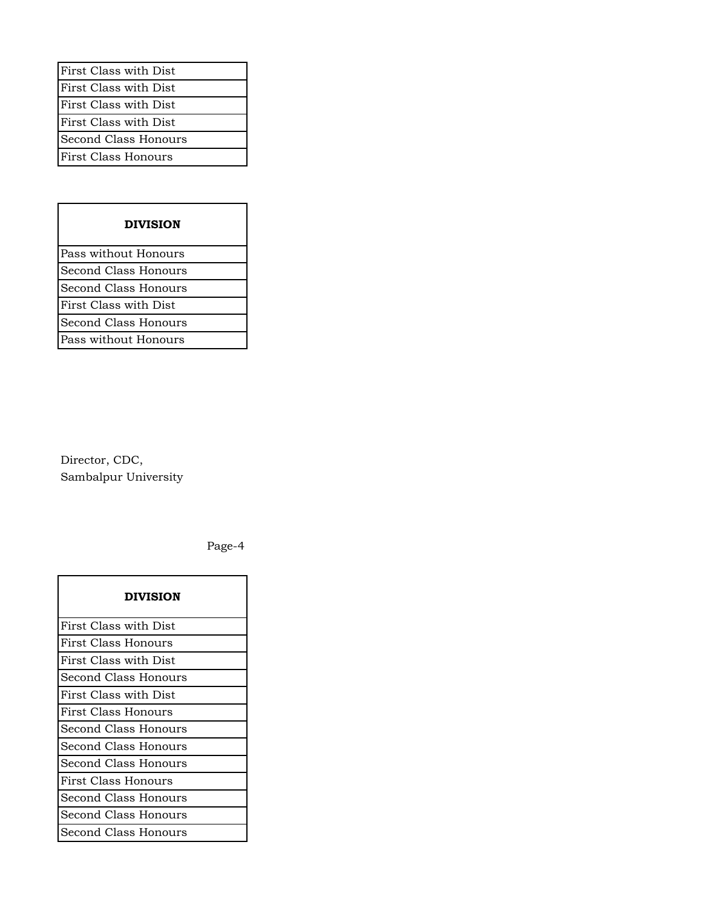| <b>First Class with Dist</b> |
|------------------------------|
| <b>First Class with Dist</b> |
| <b>First Class with Dist</b> |
| <b>First Class with Dist</b> |
| Second Class Honours         |
| <b>First Class Honours</b>   |

#### **DIVISION**

| Pass without Honours  |
|-----------------------|
| Second Class Honours  |
| Second Class Honours  |
| First Class with Dist |
| Second Class Honours  |
| Pass without Honours  |

Director, CDC, Sambalpur University

Page-4

| DIVISION                    |
|-----------------------------|
| First Class with Dist       |
| First Class Honours         |
| First Class with Dist       |
| <b>Second Class Honours</b> |
| First Class with Dist       |
| <b>First Class Honours</b>  |
| Second Class Honours        |
| Second Class Honours        |
| Second Class Honours        |
| First Class Honours         |
| Second Class Honours        |
| Second Class Honours        |
| Second Class Honours        |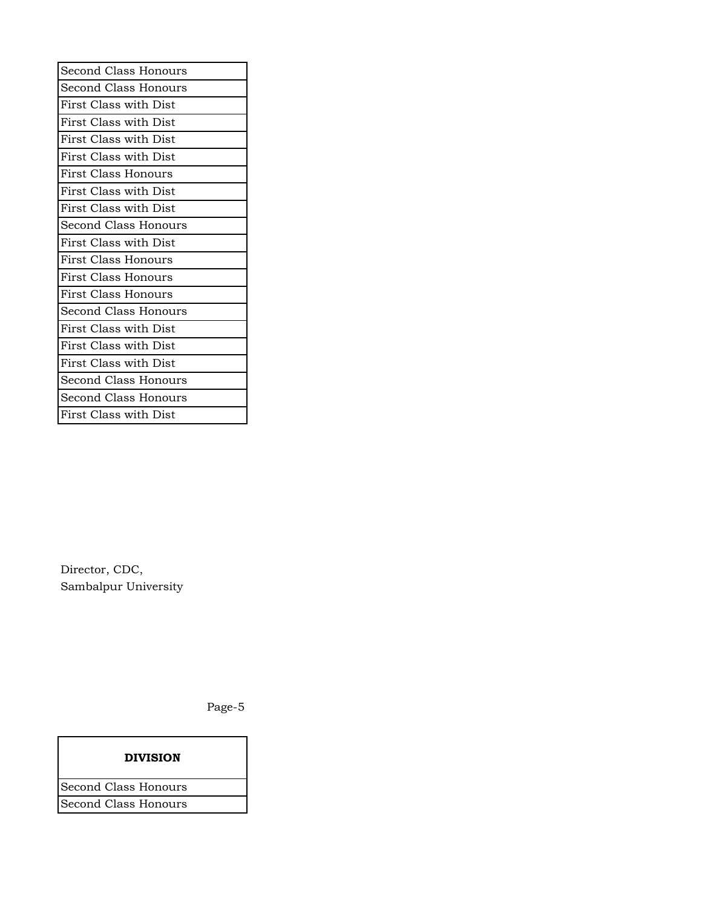| Second Class Honours       |
|----------------------------|
| Second Class Honours       |
| First Class with Dist      |
| First Class with Dist      |
| First Class with Dist      |
| First Class with Dist      |
| <b>First Class Honours</b> |
| First Class with Dist      |
| First Class with Dist      |
| Second Class Honours       |
| First Class with Dist      |
| First Class Honours        |
| <b>First Class Honours</b> |
| First Class Honours        |
| Second Class Honours       |
| First Class with Dist      |
| First Class with Dist      |
| First Class with Dist      |
| Second Class Honours       |
| Second Class Honours       |
| First Class with Dist      |

Director, CDC, Sambalpur University

Page-5

#### **DIVISION**

Second Class Honours Second Class Honours